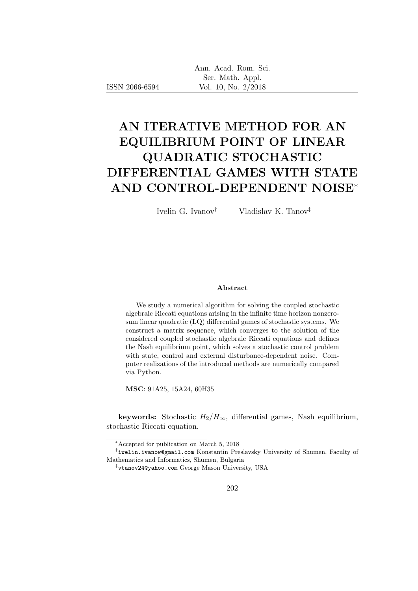| Ann. Acad. Rom. Sci. |
|----------------------|
| Ser. Math. Appl.     |
| Vol. 10, No. 2/2018  |

# AN ITERATIVE METHOD FOR AN EQUILIBRIUM POINT OF LINEAR QUADRATIC STOCHASTIC DIFFERENTIAL GAMES WITH STATE AND CONTROL-DEPENDENT NOISE<sup>∗</sup>

ISSN 2066-6594

Ivelin G. Ivanov† Vladislav K. Tanov‡

#### Abstract

We study a numerical algorithm for solving the coupled stochastic algebraic Riccati equations arising in the infinite time horizon nonzerosum linear quadratic (LQ) differential games of stochastic systems. We construct a matrix sequence, which converges to the solution of the considered coupled stochastic algebraic Riccati equations and defines the Nash equilibrium point, which solves a stochastic control problem with state, control and external disturbance-dependent noise. Computer realizations of the introduced methods are numerically compared via Python.

MSC: 91A25, 15A24, 60H35

keywords: Stochastic  $H_2/H_{\infty}$ , differential games, Nash equilibrium, stochastic Riccati equation.

<sup>∗</sup>Accepted for publication on March 5, 2018

<sup>†</sup> iwelin.ivanow@gmail.com Konstantin Preslavsky University of Shumen, Faculty of Mathematics and Informatics, Shumen, Bulgaria

<sup>‡</sup> vtanov24@yahoo.com George Mason University, USA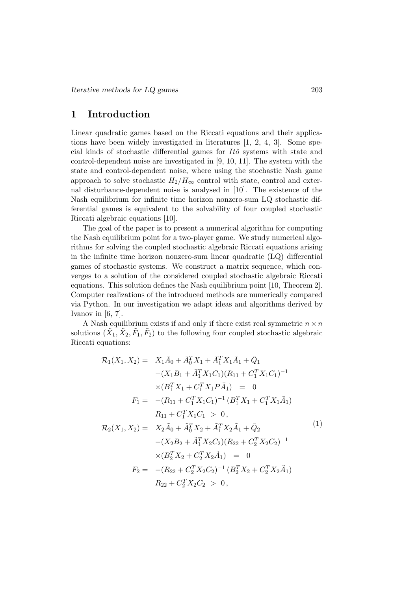# 1 Introduction

Linear quadratic games based on the Riccati equations and their applications have been widely investigated in literatures [1, 2, 4, 3]. Some special kinds of stochastic differential games for  $It\hat{o}$  systems with state and control-dependent noise are investigated in [9, 10, 11]. The system with the state and control-dependent noise, where using the stochastic Nash game approach to solve stochastic  $H_2/H_\infty$  control with state, control and external disturbance-dependent noise is analysed in [10]. The existence of the Nash equilibrium for infinite time horizon nonzero-sum LQ stochastic differential games is equivalent to the solvability of four coupled stochastic Riccati algebraic equations [10].

The goal of the paper is to present a numerical algorithm for computing the Nash equilibrium point for a two-player game. We study numerical algorithms for solving the coupled stochastic algebraic Riccati equations arising in the infinite time horizon nonzero-sum linear quadratic (LQ) differential games of stochastic systems. We construct a matrix sequence, which converges to a solution of the considered coupled stochastic algebraic Riccati equations. This solution defines the Nash equilibrium point [10, Theorem 2]. Computer realizations of the introduced methods are numerically compared via Python. In our investigation we adapt ideas and algorithms derived by Ivanov in  $[6, 7]$ .

A Nash equilibrium exists if and only if there exist real symmetric  $n \times n$ solutions  $(\tilde{X}_1, \tilde{X}_2, \tilde{F}_1, \tilde{F}_2)$  to the following four coupled stochastic algebraic Riccati equations:

$$
\mathcal{R}_1(X_1, X_2) = X_1\bar{A}_0 + \bar{A}_0^T X_1 + \bar{A}_1^T X_1\bar{A}_1 + \bar{Q}_1
$$
  
\n
$$
-(X_1B_1 + \bar{A}_1^T X_1C_1)(R_{11} + C_1^T X_1C_1)^{-1}
$$
  
\n
$$
\times (B_1^T X_1 + C_1^T X_1 P \bar{A}_1) = 0
$$
  
\n
$$
F_1 = -(R_{11} + C_1^T X_1C_1)^{-1} (B_1^T X_1 + C_1^T X_1 \bar{A}_1)
$$
  
\n
$$
R_{11} + C_1^T X_1C_1 > 0,
$$
  
\n
$$
\mathcal{R}_2(X_1, X_2) = X_2\tilde{A}_0 + \tilde{A}_0^T X_2 + \tilde{A}_1^T X_2 \tilde{A}_1 + \bar{Q}_2
$$
  
\n
$$
-(X_2B_2 + \tilde{A}_1^T X_2C_2)(R_{22} + C_2^T X_2C_2)^{-1}
$$
  
\n
$$
\times (B_2^T X_2 + C_2^T X_2 \tilde{A}_1) = 0
$$
  
\n
$$
F_2 = -(R_{22} + C_2^T X_2C_2)^{-1} (B_2^T X_2 + C_2^T X_2 \tilde{A}_1)
$$
  
\n
$$
R_{22} + C_2^T X_2C_2 > 0,
$$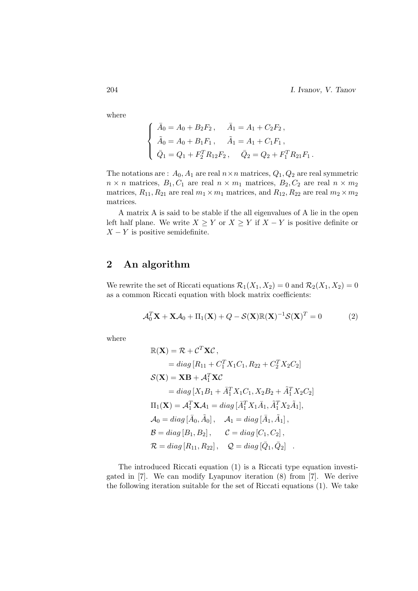204 I. Ivanov, V. Tanov

where

$$
\begin{cases}\n\bar{A}_0 = A_0 + B_2 F_2, & \bar{A}_1 = A_1 + C_2 F_2, \\
\tilde{A}_0 = A_0 + B_1 F_1, & \tilde{A}_1 = A_1 + C_1 F_1, \\
\bar{Q}_1 = Q_1 + F_2^T R_{12} F_2, & \bar{Q}_2 = Q_2 + F_1^T R_{21} F_1.\n\end{cases}
$$

The notations are :  $A_0$ ,  $A_1$  are real  $n \times n$  matrices,  $Q_1$ ,  $Q_2$  are real symmetric  $n \times n$  matrices,  $B_1, C_1$  are real  $n \times m_1$  matrices,  $B_2, C_2$  are real  $n \times m_2$ matrices,  $R_{11}, R_{21}$  are real  $m_1 \times m_1$  matrices, and  $R_{12}, R_{22}$  are real  $m_2 \times m_2$ matrices.

A matrix A is said to be stable if the all eigenvalues of A lie in the open left half plane. We write  $X \geq Y$  or  $X \geq Y$  if  $X - Y$  is positive definite or  $X - Y$  is positive semidefinite.

# 2 An algorithm

We rewrite the set of Riccati equations  $\mathcal{R}_1(X_1, X_2) = 0$  and  $\mathcal{R}_2(X_1, X_2) = 0$ as a common Riccati equation with block matrix coefficients:

$$
\mathcal{A}_0^T \mathbf{X} + \mathbf{X} \mathcal{A}_0 + \Pi_1(\mathbf{X}) + Q - \mathcal{S}(\mathbf{X}) \mathbb{R}(\mathbf{X})^{-1} \mathcal{S}(\mathbf{X})^T = 0 \tag{2}
$$

where

$$
\mathbb{R}(\mathbf{X}) = \mathcal{R} + C^T \mathbf{X} C,
$$
  
\n
$$
= diag [R_{11} + C_1^T X_1 C_1, R_{22} + C_2^T X_2 C_2]
$$
  
\n
$$
\mathcal{S}(\mathbf{X}) = \mathbf{X} \mathbf{B} + \mathcal{A}_1^T \mathbf{X} C
$$
  
\n
$$
= diag [X_1 B_1 + \bar{A}_1^T X_1 C_1, X_2 B_2 + \tilde{A}_1^T X_2 C_2]
$$
  
\n
$$
\Pi_1(\mathbf{X}) = \mathcal{A}_1^T \mathbf{X} \mathcal{A}_1 = diag [\bar{A}_1^T X_1 \bar{A}_1, \tilde{A}_1^T X_2 \tilde{A}_1],
$$
  
\n
$$
\mathcal{A}_0 = diag [\bar{A}_0, \tilde{A}_0], \quad \mathcal{A}_1 = diag [\bar{A}_1, \tilde{A}_1],
$$
  
\n
$$
\mathcal{B} = diag [B_1, B_2], \quad \mathcal{C} = diag [C_1, C_2],
$$
  
\n
$$
\mathcal{R} = diag [R_{11}, R_{22}], \quad \mathcal{Q} = diag [\bar{Q}_1, \bar{Q}_2].
$$

The introduced Riccati equation (1) is a Riccati type equation investigated in [7]. We can modify Lyapunov iteration (8) from [7]. We derive the following iteration suitable for the set of Riccati equations (1). We take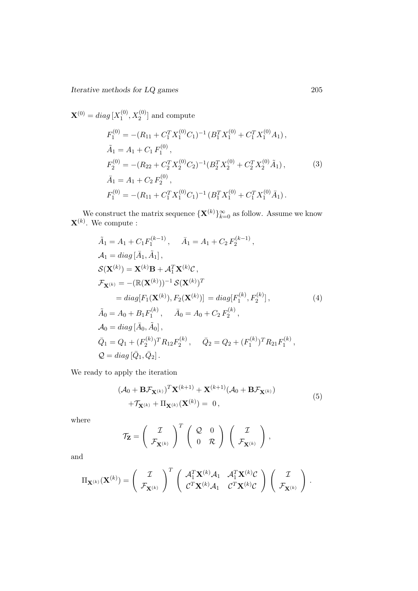Iterative methods for LQ games 205

 $\mathbf{X}^{(0)}=diag\left[ X_{1}^{(0)}\right]$  $X_1^{(0)}, X_2^{(0)}$  and compute

$$
F_1^{(0)} = -(R_{11} + C_1^T X_1^{(0)} C_1)^{-1} (B_1^T X_1^{(0)} + C_1^T X_1^{(0)} A_1),
$$
  
\n
$$
\tilde{A}_1 = A_1 + C_1 F_1^{(0)},
$$
  
\n
$$
F_2^{(0)} = -(R_{22} + C_2^T X_2^{(0)} C_2)^{-1} (B_2^T X_2^{(0)} + C_2^T X_2^{(0)} \tilde{A}_1),
$$
  
\n
$$
\tilde{A}_1 = A_1 + C_2 F_2^{(0)},
$$
  
\n
$$
F_1^{(0)} = -(R_{11} + C_1^T X_1^{(0)} C_1)^{-1} (B_1^T X_1^{(0)} + C_1^T X_1^{(0)} \tilde{A}_1).
$$
  
\n(3)

We construct the matrix sequence  $\{X^{(k)}\}_{k=0}^{\infty}$  as follow. Assume we know  $\mathbf{X}^{(k)}$ . We compute :

$$
\tilde{A}_1 = A_1 + C_1 F_1^{(k-1)}, \quad \bar{A}_1 = A_1 + C_2 F_2^{(k-1)},
$$
\n
$$
A_1 = diag[\bar{A}_1, \tilde{A}_1],
$$
\n
$$
S(\mathbf{X}^{(k)}) = \mathbf{X}^{(k)} \mathbf{B} + A_1^T \mathbf{X}^{(k)} \mathcal{C},
$$
\n
$$
\mathcal{F}_{\mathbf{X}^{(k)}} = -(\mathbb{R}(\mathbf{X}^{(k)}))^{-1} S(\mathbf{X}^{(k)})^T
$$
\n
$$
= diag[F_1(\mathbf{X}^{(k)}), F_2(\mathbf{X}^{(k)})] = diag[F_1^{(k)}, F_2^{(k)}],
$$
\n
$$
\tilde{A}_0 = A_0 + B_1 F_1^{(k)}, \quad \tilde{A}_0 = A_0 + C_2 F_2^{(k)},
$$
\n
$$
\mathcal{A}_0 = diag[\bar{A}_0, \tilde{A}_0],
$$
\n
$$
\bar{Q}_1 = Q_1 + (F_2^{(k)})^T R_{12} F_2^{(k)}, \quad \bar{Q}_2 = Q_2 + (F_1^{(k)})^T R_{21} F_1^{(k)},
$$
\n
$$
Q = diag[\bar{Q}_1, \bar{Q}_2].
$$
\n(4)

We ready to apply the iteration

$$
(\mathcal{A}_0 + \mathbf{B}\mathcal{F}_{\mathbf{X}^{(k)}})^T \mathbf{X}^{(k+1)} + \mathbf{X}^{(k+1)} (\mathcal{A}_0 + \mathbf{B}\mathcal{F}_{\mathbf{X}^{(k)}})
$$
  
+
$$
\mathcal{T}_{\mathbf{X}^{(k)}} + \Pi_{\mathbf{X}^{(k)}} (\mathbf{X}^{(k)}) = 0,
$$
 (5)

where

$$
\mathcal{T}_{\mathbf{Z}} = \left(\begin{array}{c} \mathcal{I} \\ \mathcal{F}_{\mathbf{X}^{(k)}} \end{array}\right)^T \left(\begin{array}{cc} \mathcal{Q} & 0 \\ 0 & \mathcal{R} \end{array}\right) \left(\begin{array}{c} \mathcal{I} \\ \mathcal{F}_{\mathbf{X}^{(k)}} \end{array}\right),
$$

and

$$
\Pi_{\mathbf{X}^{(k)}}(\mathbf{X}^{(k)}) = \begin{pmatrix} \mathcal{I} \\ \mathcal{F}_{\mathbf{X}^{(k)}} \end{pmatrix}^T \begin{pmatrix} \mathcal{A}_1^T \mathbf{X}^{(k)} \mathcal{A}_1 & \mathcal{A}_1^T \mathbf{X}^{(k)} \mathcal{C} \\ \mathcal{C}^T \mathbf{X}^{(k)} \mathcal{A}_1 & \mathcal{C}^T \mathbf{X}^{(k)} \mathcal{C} \end{pmatrix} \begin{pmatrix} \mathcal{I} \\ \mathcal{F}_{\mathbf{X}^{(k)}} \end{pmatrix}.
$$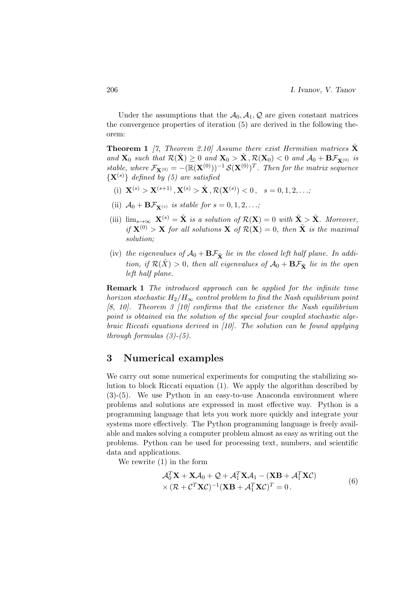Under the assumptions that the  $A_0$ ,  $A_1$ , Q are given constant matrices the convergence properties of iteration (5) are derived in the following theorem:

**Theorem 1** [7, Theorem 2.10] Assume there exist Hermitian matrices  $\hat{\mathbf{X}}$ and  $\mathbf{X}_0$  such that  $\mathcal{R}(\hat{\mathbf{X}}) \geq 0$  and  $\mathbf{X}_0 > \hat{\mathbf{X}}, \mathcal{R}(\mathbf{X}_0) < 0$  and  $\mathcal{A}_0 + \mathbf{B}\mathcal{F}_{\mathbf{X}^{(0)}}$  is stable, where  $\mathcal{F}_{\mathbf{X}^{(0)}} = -(\mathbb{R}(\mathbf{X}^{(0)}))^{-1} \mathcal{S}(\mathbf{X}^{(0)})^T$ . Then for the matrix sequence  $\{X^{(s)}\}\$  defined by (5) are satisfied

- (i)  $\mathbf{X}^{(s)} > \mathbf{X}^{(s+1)}, \mathbf{X}^{(s)} > \hat{\mathbf{X}}, \mathcal{R}(\mathbf{X}^{(s)}) < 0, s = 0, 1, 2, \ldots;$
- (ii)  $\mathcal{A}_0 + \mathbf{B} \mathcal{F}_{\mathbf{Y}(s)}$  is stable for  $s = 0, 1, 2, \ldots;$
- (iii)  $\lim_{s\to\infty} \mathbf{X}^{(s)} = \tilde{\mathbf{X}}$  is a solution of  $\mathcal{R}(\mathbf{X}) = 0$  with  $\tilde{\mathbf{X}} > \hat{\mathbf{X}}$ . Moreover, if  $\mathbf{X}^{(0)} > \mathbf{X}$  for all solutions  $\mathbf{X}$  of  $\mathcal{R}(\mathbf{X}) = 0$ , then  $\tilde{\mathbf{X}}$  is the maximal solution;
- (iv) the eigenvalues of  $\mathcal{A}_0 + \mathbf{B}\mathcal{F}_{\tilde{\mathbf{X}}}$  lie in the closed left half plane. In addition, if  $\mathcal{R}(\hat{X}) > 0$ , then all eigenvalues of  $\mathcal{A}_0 + \mathbf{B}\mathcal{F}_{\tilde{X}}$  lie in the open left half plane.

Remark 1 The introduced approach can be applied for the infinite time horizon stochastic  $H_2/H_{\infty}$  control problem to find the Nash equilibrium point [8, 10]. Theorem 3 [10] confirms that the existence the Nash equilibrium point is obtained via the solution of the special four coupled stochastic algebraic Riccati equations derived in [10]. The solution can be found applying through formulas  $(3)-(5)$ .

### 3 Numerical examples

We carry out some numerical experiments for computing the stabilizing solution to block Riccati equation (1). We apply the algorithm described by (3)-(5). We use Python in an easy-to-use Anaconda environment where problems and solutions are expressed in most effective way. Python is a programming language that lets you work more quickly and integrate your systems more effectively. The Python programming language is freely available and makes solving a computer problem almost as easy as writing out the problems. Python can be used for processing text, numbers, and scientific data and applications.

We rewrite (1) in the form

$$
\mathcal{A}_0^T \mathbf{X} + \mathbf{X} \mathcal{A}_0 + \mathcal{Q} + \mathcal{A}_1^T \mathbf{X} \mathcal{A}_1 - (\mathbf{X} \mathbf{B} + \mathcal{A}_1^T \mathbf{X} \mathcal{C}) \times (\mathcal{R} + \mathcal{C}^T \mathbf{X} \mathcal{C})^{-1} (\mathbf{X} \mathbf{B} + \mathcal{A}_1^T \mathbf{X} \mathcal{C})^T = 0.
$$
\n(6)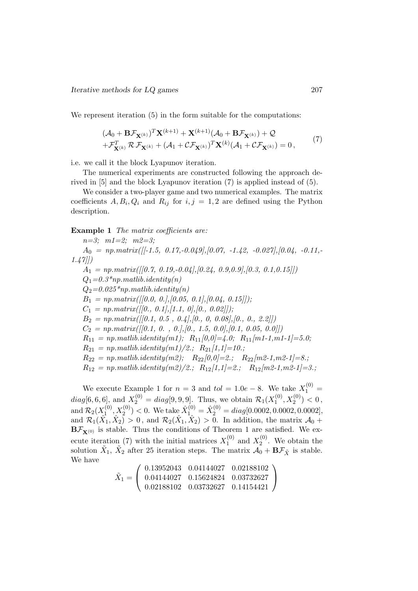We represent iteration  $(5)$  in the form suitable for the computations:

$$
(\mathcal{A}_0 + \mathbf{B}\mathcal{F}_{\mathbf{X}^{(k)}})^T \mathbf{X}^{(k+1)} + \mathbf{X}^{(k+1)} (\mathcal{A}_0 + \mathbf{B}\mathcal{F}_{\mathbf{X}^{(k)}}) + \mathcal{Q}
$$
  
+ $\mathcal{F}_{\mathbf{X}^{(k)}}^T \mathcal{R} \mathcal{F}_{\mathbf{X}^{(k)}} + (\mathcal{A}_1 + \mathcal{C}\mathcal{F}_{\mathbf{X}^{(k)}})^T \mathbf{X}^{(k)} (\mathcal{A}_1 + \mathcal{C}\mathcal{F}_{\mathbf{X}^{(k)}}) = 0,$  (7)

i.e. we call it the block Lyapunov iteration.

The numerical experiments are constructed following the approach derived in [5] and the block Lyapunov iteration (7) is applied instead of (5).

We consider a two-player game and two numerical examples. The matrix coefficients  $A, B_i, Q_i$  and  $R_{ij}$  for  $i, j = 1, 2$  are defined using the Python description.

#### Example 1 The matrix coefficients are:

 $n=3;$   $m1=2;$   $m2=3;$  $A_0 = np_matrix([[-1.5, 0.17, -0.049], [0.07, -1.42, -0.027], [0.04, -0.11, -0.027],$ 1.47]])  $A_1 = np_matrix([0.7, 0.19, -0.04], [0.24, 0.9, 0.9], [0.3, 0.1, 0.15]])$  $Q_1=0.3*np.mathib.identity(n)$  $Q_2=0.025*np.mathib.identity(n)$  $B_1 = np_matrix([0.0, 0.], [0.05, 0.1], [0.04, 0.15]]);$  $C_1 = np_matrix([[0., 0.1], [1.1, 0], [0., 0.02]]);$  $B_2 = np_matrix([[0.1, 0.5, 0.4],[0., 0, 0.08],[0., 0., 2.2]])$  $C_2 = np_matrix([[0.1, 0. , 0.],[0. , 1.5, 0.0],[0.1, 0.05, 0.0]])$  $R_{11} = np.mathib.identity(m1); R_{11}[0,0] = 4.0; R_{11}[m1-1,m1-1] = 5.0;$  $R_{21} = np.matlib.identity(m1)/2.; R_{21}/1,1]=10.;$  $R_{22} = np.mathib.identity(m2); R_{22}[0,0]=2; R_{22}[m2-1,m2-1]=8.$ ;  $R_{12} = np \text{.}$  matlib.identity(m2)/2.;  $R_{12}/1, 1=2$ .;  $R_{12}/m2-1, m2-1=3$ .;

We execute Example 1 for  $n = 3$  and  $tol = 1.0e - 8$ . We take  $X_1^{(0)} =$  $diag[6, 6, 6]$ , and  $X_2^{(0)} = diag[9, 9, 9]$ . Thus, we obtain  $\mathcal{R}_1(X_1^{(0)})$  $X_1^{(0)}, X_2^{(0)}) < 0,$ and  $\mathcal{R}_2(X_1^{(0)}$  $\hat{X}_{1}^{(0)}, X_{2}^{(0)}) < 0.$  We take  $\hat{X}_{1}^{(0)} = \hat{X}_{2}^{(0)} = diag[0.0002, 0.0002, 0.0002],$ and  $\mathcal{R}_1(\hat{X}_1, \hat{X}_2) > 0$ , and  $\mathcal{R}_2(\hat{X}_1, \hat{X}_2) > 0$ . In addition, the matrix  $\mathcal{A}_0$  +  $B\mathcal{F}_{\mathbf{X}^{(0)}}$  is stable. Thus the conditions of Theorem 1 are satisfied. We execute iteration (7) with the initial matrices  $X_1^{(0)}$  $\chi_1^{(0)}$  and  $X_2^{(0)}$  $2^{(0)}$ . We obtain the solution  $\tilde{X}_1$ ,  $\tilde{X}_2$  after 25 iteration steps. The matrix  $\mathcal{A}_0 + \mathbf{B}\mathcal{F}_{\tilde{X}}$  is stable. We have

$$
\tilde{X}_1=\left(\begin{array}{ccc} 0.13952043 & 0.04144027 & 0.02188102 \\ 0.04144027 & 0.15624824 & 0.03732627 \\ 0.02188102 & 0.03732627 & 0.14154421 \end{array}\right)
$$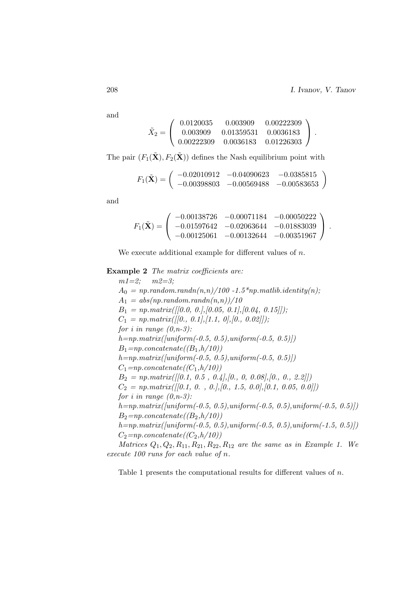and

$$
\tilde{X}_2=\left(\begin{array}{ccc} 0.0120035 & 0.003909 & 0.00222309 \\ 0.003909 & 0.01359531 & 0.0036183 \\ 0.00222309 & 0.0036183 & 0.01226303 \end{array}\right)\,.
$$

The pair  $(F_1(\tilde{\mathbf{X}}), F_2(\tilde{\mathbf{X}}))$  defines the Nash equilibrium point with

$$
F_1(\tilde{\mathbf{X}}) = \begin{pmatrix} -0.02010912 & -0.04090623 & -0.0385815 \\ -0.00398803 & -0.00569488 & -0.00583653 \end{pmatrix}
$$

and

$$
F_1(\tilde{\mathbf{X}}) = \begin{pmatrix} -0.00138726 & -0.00071184 & -0.00050222 \\ -0.01597642 & -0.02063644 & -0.01883039 \\ -0.00125061 & -0.00132644 & -0.00351967 \end{pmatrix}.
$$

We execute additional example for different values of  $n$ .

Example 2 The matrix coefficients are:

 $m1=2$ ;  $m2=3$ ;  $A_0 = np.random.randn(n,n)/100 - 1.5*np.mathib.identity(n);$  $A_1 = abs(np.random.randn(n,n))/10$  $B_1 = np_matrix([[0.0, 0.],[0.05, 0.1],[0.04, 0.15]]);$  $C_1 = np_matrix([0., 0.1], [1.1, 0], [0., 0.02]]);$ for i in range  $(0, n-3)$ :  $h=np_matrix([uniform(-0.5, 0.5), uniform(-0.5, 0.5)])$  $B_1=np-concatenate((B_1,h/10))$  $h=np_matrix([uniform(-0.5, 0.5), uniform(-0.5, 0.5)])$  $C_1$ =np.concatenate(( $C_1,h/10$ ))  $B_2 = np_matrix([[0.1, 0.5, 0.4],[0., 0, 0.08],[0., 0., 2.2]])$  $C_2 = np_matrix([0.1, 0. , 0.], [0., 1.5, 0.0], [0.1, 0.05, 0.0]])$ for i in range  $(0, n-3)$ :  $h=np_matrix([uniform(-0.5, 0.5), uniform(-0.5, 0.5), uniform(-0.5, 0.5)])$  $B_2=np-concatenate((B_2,h/10))$  $h=np_matrix([uniform(-0.5, 0.5), uniform(-0.5, 0.5), uniform(-1.5, 0.5)])$  $C_2=np-concatenate((C_2,h/10))$ *Matrices*  $Q_1, Q_2, R_{11}, R_{21}, R_{22}, R_{12}$  are the same as in Example 1. We

execute 100 runs for each value of n.

Table 1 presents the computational results for different values of n.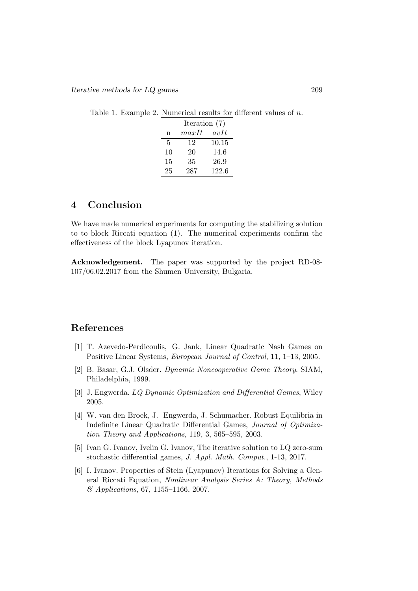Table 1. Example 2. Numerical results for different values of n.

|    | Iteration $(7)$ |       |  |
|----|-----------------|-------|--|
| n  | maxIt           | avIt  |  |
| 5  | 12              | 10.15 |  |
| 10 | 20              | 14.6  |  |
| 15 | 35              | 26.9  |  |
| 25 | 287             | 122.6 |  |

# 4 Conclusion

We have made numerical experiments for computing the stabilizing solution to to block Riccati equation (1). The numerical experiments confirm the effectiveness of the block Lyapunov iteration.

Acknowledgement. The paper was supported by the project RD-08- 107/06.02.2017 from the Shumen University, Bulgaria.

## References

- [1] T. Azevedo-Perdicoulis, G. Jank, Linear Quadratic Nash Games on Positive Linear Systems, European Journal of Control, 11, 1–13, 2005.
- [2] B. Basar, G.J. Olsder. Dynamic Noncooperative Game Theory. SIAM, Philadelphia, 1999.
- [3] J. Engwerda. LQ Dynamic Optimization and Differential Games, Wiley 2005.
- [4] W. van den Broek, J. Engwerda, J. Schumacher. Robust Equilibria in Indefinite Linear Quadratic Differential Games, Journal of Optimization Theory and Applications, 119, 3, 565–595, 2003.
- [5] Ivan G. Ivanov, Ivelin G. Ivanov, The iterative solution to LQ zero-sum stochastic differential games, J. Appl. Math. Comput., 1-13, 2017.
- [6] I. Ivanov. Properties of Stein (Lyapunov) Iterations for Solving a General Riccati Equation, Nonlinear Analysis Series A: Theory, Methods & Applications, 67, 1155–1166, 2007.